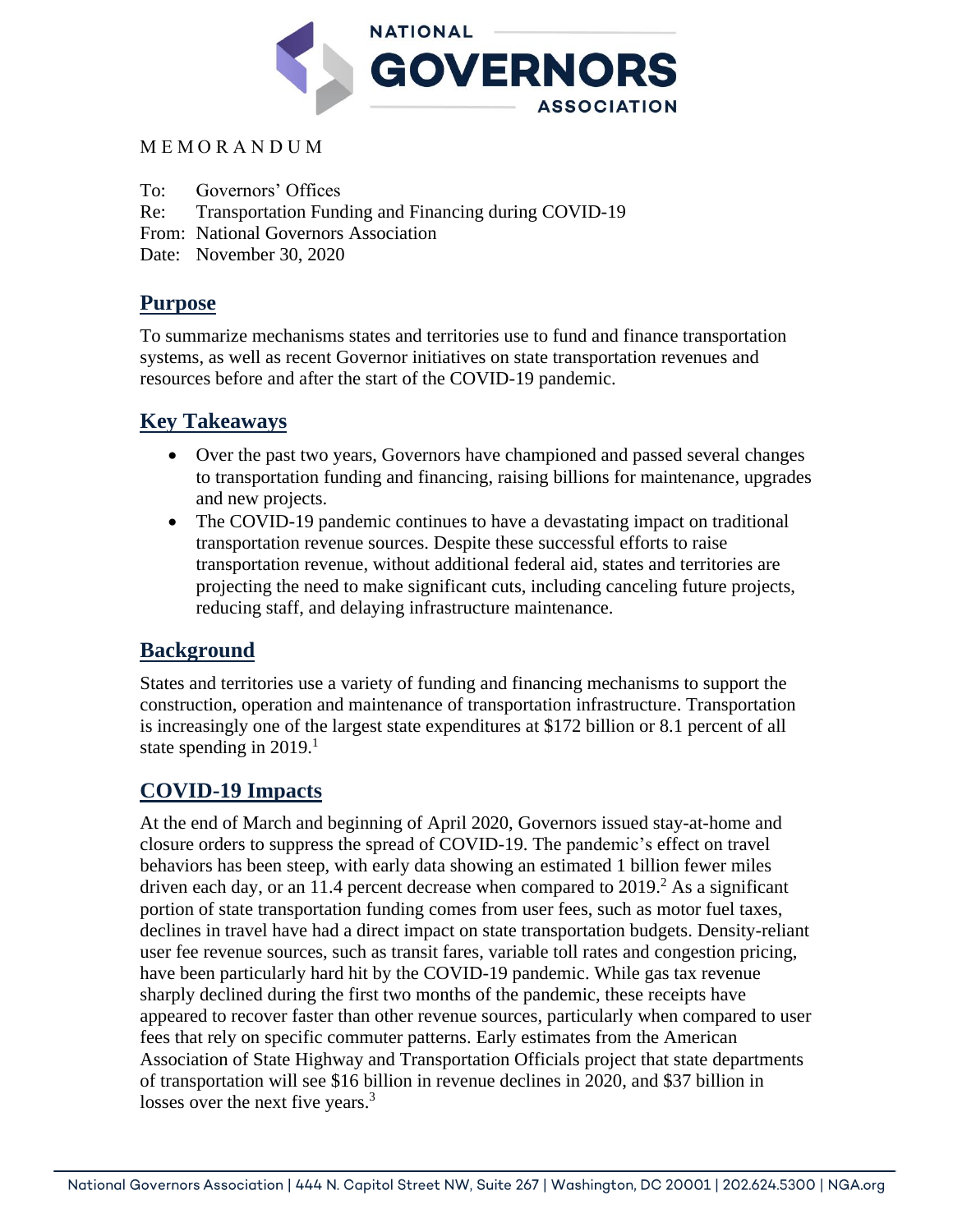

## M E M O R A N D U M

To: Governors' Offices

Re: Transportation Funding and Financing during COVID-19

From: National Governors Association

Date: November 30, 2020

## **Purpose**

To summarize mechanisms states and territories use to fund and finance transportation systems, as well as recent Governor initiatives on state transportation revenues and resources before and after the start of the COVID-19 pandemic.

## **Key Takeaways**

- Over the past two years, Governors have championed and passed several changes to transportation funding and financing, raising billions for maintenance, upgrades and new projects.
- The COVID-19 pandemic continues to have a devastating impact on traditional transportation revenue sources. Despite these successful efforts to raise transportation revenue, without additional federal aid, states and territories are projecting the need to make significant cuts, including canceling future projects, reducing staff, and delaying infrastructure maintenance.

## **Background**

States and territories use a variety of funding and financing mechanisms to support the construction, operation and maintenance of transportation infrastructure. Transportation is increasingly one of the largest state expenditures at \$172 billion or 8.1 percent of all state spending in 2019.<sup>1</sup>

## **COVID-19 Impacts**

At the end of March and beginning of April 2020, Governors issued stay-at-home and closure orders to suppress the spread of COVID-19. The pandemic's effect on travel behaviors has been steep, with early data showing an estimated 1 billion fewer miles driven each day, or an 11.4 percent decrease when compared to  $2019<sup>2</sup>$ . As a significant portion of state transportation funding comes from user fees, such as motor fuel taxes, declines in travel have had a direct impact on state transportation budgets. Density-reliant user fee revenue sources, such as transit fares, variable toll rates and congestion pricing, have been particularly hard hit by the COVID-19 pandemic. While gas tax revenue sharply declined during the first two months of the pandemic, these receipts have appeared to recover faster than other revenue sources, particularly when compared to user fees that rely on specific commuter patterns. Early estimates from the American Association of State Highway and Transportation Officials project that state departments of transportation will see \$16 billion in revenue declines in 2020, and \$37 billion in losses over the next five years.<sup>3</sup>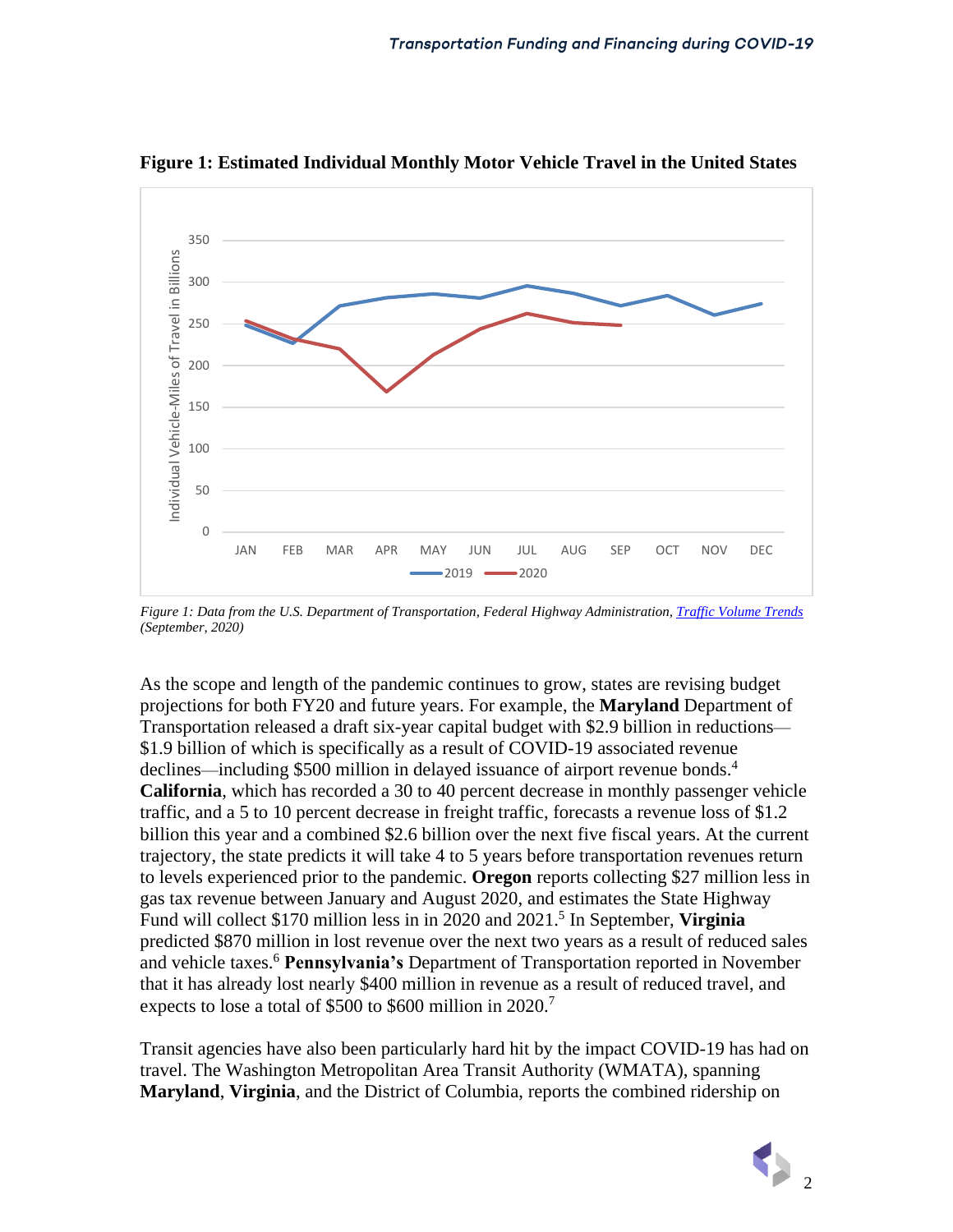

**Figure 1: Estimated Individual Monthly Motor Vehicle Travel in the United States**

*Figure 1: Data from the U.S. Department of Transportation, Federal Highway Administration[, Traffic Volume Trends](https://www.fhwa.dot.gov/policyinformation/travel_monitoring/tvt.cfm) (September, 2020)*

As the scope and length of the pandemic continues to grow, states are revising budget projections for both FY20 and future years. For example, the **Maryland** Department of Transportation released a draft six-year capital budget with \$2.9 billion in reductions— \$1.9 billion of which is specifically as a result of COVID-19 associated revenue declines—including \$500 million in delayed issuance of airport revenue bonds. 4 **California**, which has recorded a 30 to 40 percent decrease in monthly passenger vehicle traffic, and a 5 to 10 percent decrease in freight traffic, forecasts a revenue loss of \$1.2 billion this year and a combined \$2.6 billion over the next five fiscal years. At the current trajectory, the state predicts it will take 4 to 5 years before transportation revenues return to levels experienced prior to the pandemic. **Oregon** reports collecting \$27 million less in gas tax revenue between January and August 2020, and estimates the State Highway Fund will collect \$170 million less in in 2020 and 2021. 5 In September, **Virginia** predicted \$870 million in lost revenue over the next two years as a result of reduced sales and vehicle taxes.<sup>6</sup> **Pennsylvania's** Department of Transportation reported in November that it has already lost nearly \$400 million in revenue as a result of reduced travel, and expects to lose a total of \$500 to \$600 million in 2020.<sup>7</sup>

Transit agencies have also been particularly hard hit by the impact COVID-19 has had on travel. The Washington Metropolitan Area Transit Authority (WMATA), spanning **Maryland**, **Virginia**, and the District of Columbia, reports the combined ridership on

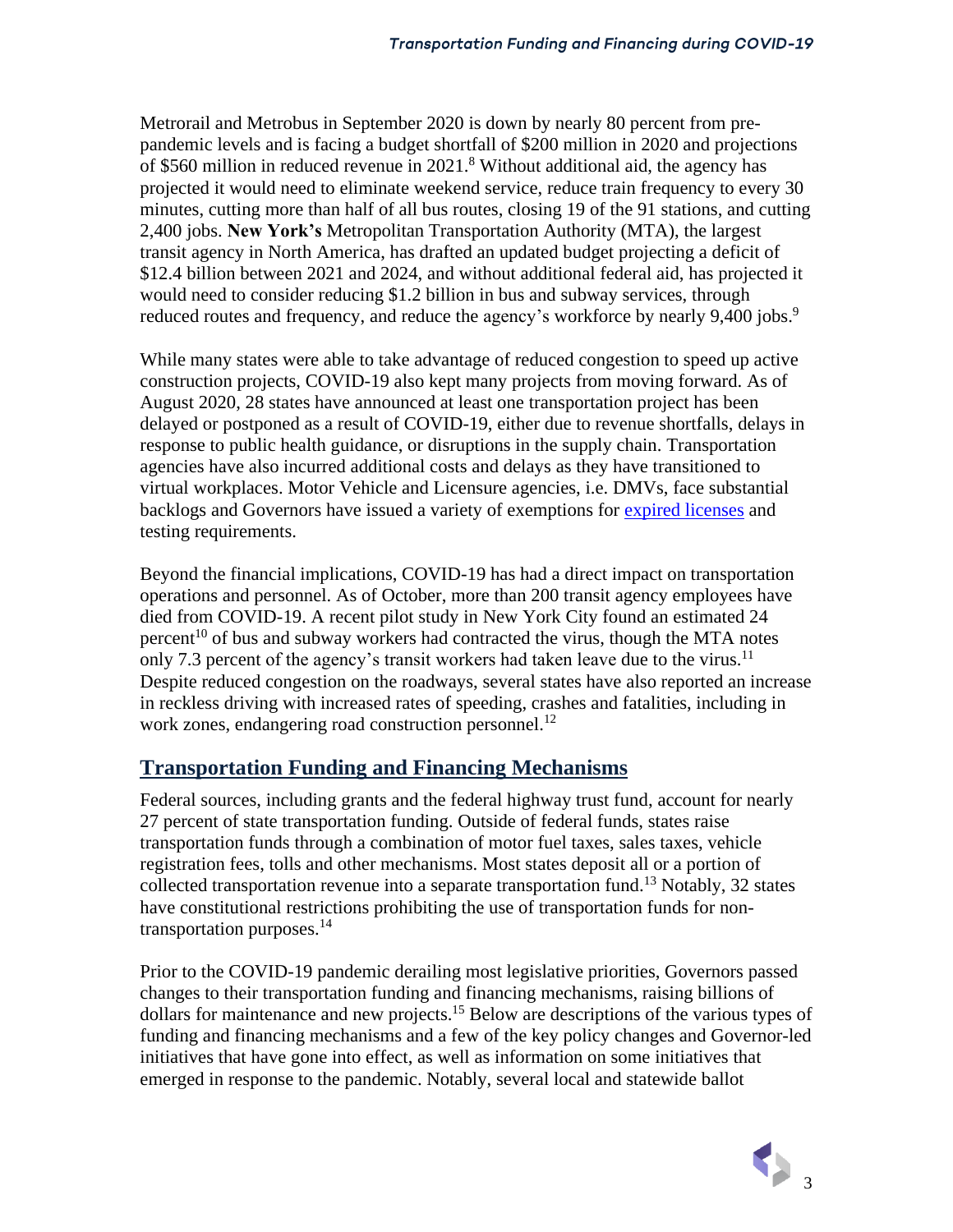Metrorail and Metrobus in September 2020 is down by nearly 80 percent from prepandemic levels and is facing a budget shortfall of \$200 million in 2020 and projections of \$560 million in reduced revenue in 2021. <sup>8</sup> Without additional aid, the agency has projected it would need to eliminate weekend service, reduce train frequency to every 30 minutes, cutting more than half of all bus routes, closing 19 of the 91 stations, and cutting 2,400 jobs. **New York's** Metropolitan Transportation Authority (MTA), the largest transit agency in North America, has drafted an updated budget projecting a deficit of \$12.4 billion between 2021 and 2024, and without additional federal aid, has projected it would need to consider reducing \$1.2 billion in bus and subway services, through reduced routes and frequency, and reduce the agency's workforce by nearly 9,400 jobs.<sup>9</sup>

While many states were able to take advantage of reduced congestion to speed up active construction projects, COVID-19 also kept many projects from moving forward. As of August 2020, 28 states have announced at least one transportation project has been delayed or postponed as a result of COVID-19, either due to revenue shortfalls, delays in response to public health guidance, or disruptions in the supply chain. Transportation agencies have also incurred additional costs and delays as they have transitioned to virtual workplaces. Motor Vehicle and Licensure agencies, i.e. DMVs, face substantial backlogs and Governors have issued a variety of exemptions for [expired licenses](https://www.nga.org/memos/policy-scan-drivers-license-rules/) and testing requirements.

Beyond the financial implications, COVID-19 has had a direct impact on transportation operations and personnel. As of October, more than 200 transit agency employees have died from COVID-19. A recent pilot study in New York City found an estimated 24 percent<sup>10</sup> of bus and subway workers had contracted the virus, though the MTA notes only 7.3 percent of the agency's transit workers had taken leave due to the virus.<sup>11</sup> Despite reduced congestion on the roadways, several states have also reported an increase in reckless driving with increased rates of speeding, crashes and fatalities, including in work zones, endangering road construction personnel.<sup>12</sup>

## **Transportation Funding and Financing Mechanisms**

Federal sources, including grants and the federal highway trust fund, account for nearly 27 percent of state transportation funding. Outside of federal funds, states raise transportation funds through a combination of motor fuel taxes, sales taxes, vehicle registration fees, tolls and other mechanisms. Most states deposit all or a portion of collected transportation revenue into a separate transportation fund.<sup>13</sup> Notably, 32 states have constitutional restrictions prohibiting the use of transportation funds for nontransportation purposes. $14$ 

Prior to the COVID-19 pandemic derailing most legislative priorities, Governors passed changes to their transportation funding and financing mechanisms, raising billions of dollars for maintenance and new projects. <sup>15</sup> Below are descriptions of the various types of funding and financing mechanisms and a few of the key policy changes and Governor-led initiatives that have gone into effect, as well as information on some initiatives that emerged in response to the pandemic. Notably, several local and statewide ballot

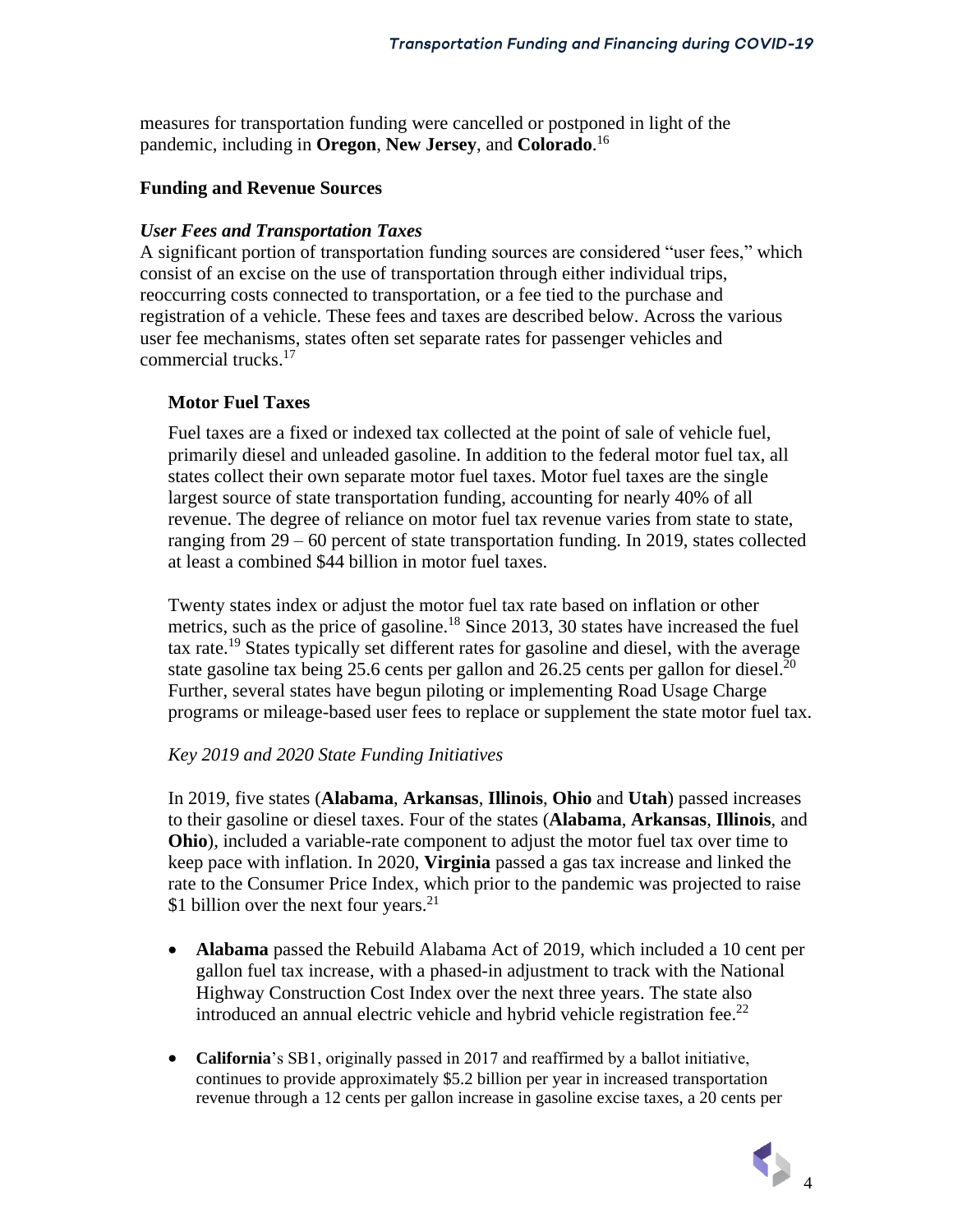measures for transportation funding were cancelled or postponed in light of the pandemic, including in **Oregon**, **New Jersey**, and **Colorado**. 16

#### **Funding and Revenue Sources**

### *User Fees and Transportation Taxes*

A significant portion of transportation funding sources are considered "user fees," which consist of an excise on the use of transportation through either individual trips, reoccurring costs connected to transportation, or a fee tied to the purchase and registration of a vehicle. These fees and taxes are described below. Across the various user fee mechanisms, states often set separate rates for passenger vehicles and commercial trucks.<sup>17</sup>

### **Motor Fuel Taxes**

Fuel taxes are a fixed or indexed tax collected at the point of sale of vehicle fuel, primarily diesel and unleaded gasoline. In addition to the federal motor fuel tax, all states collect their own separate motor fuel taxes. Motor fuel taxes are the single largest source of state transportation funding, accounting for nearly 40% of all revenue. The degree of reliance on motor fuel tax revenue varies from state to state, ranging from 29 – 60 percent of state transportation funding. In 2019, states collected at least a combined \$44 billion in motor fuel taxes.

Twenty states index or adjust the motor fuel tax rate based on inflation or other metrics, such as the price of gasoline.<sup>18</sup> Since 2013, 30 states have increased the fuel tax rate.<sup>19</sup> States typically set different rates for gasoline and diesel, with the average state gasoline tax being 25.6 cents per gallon and 26.25 cents per gallon for diesel.<sup>20</sup> Further, several states have begun piloting or implementing Road Usage Charge programs or mileage-based user fees to replace or supplement the state motor fuel tax.

#### *Key 2019 and 2020 State Funding Initiatives*

In 2019, five states (**Alabama**, **Arkansas**, **Illinois**, **Ohio** and **Utah**) passed increases to their gasoline or diesel taxes. Four of the states (**Alabama**, **Arkansas**, **Illinois**, and **Ohio**), included a variable-rate component to adjust the motor fuel tax over time to keep pace with inflation. In 2020, **Virginia** passed a gas tax increase and linked the rate to the Consumer Price Index, which prior to the pandemic was projected to raise \$1 billion over the next four years. $^{21}$ 

- **Alabama** passed the Rebuild Alabama Act of 2019, which included a 10 cent per gallon fuel tax increase, with a phased-in adjustment to track with the National Highway Construction Cost Index over the next three years. The state also introduced an annual electric vehicle and hybrid vehicle registration fee.<sup>22</sup>
- **California**'s SB1, originally passed in 2017 and reaffirmed by a ballot initiative, continues to provide approximately \$5.2 billion per year in increased transportation revenue through a 12 cents per gallon increase in gasoline excise taxes, a 20 cents per

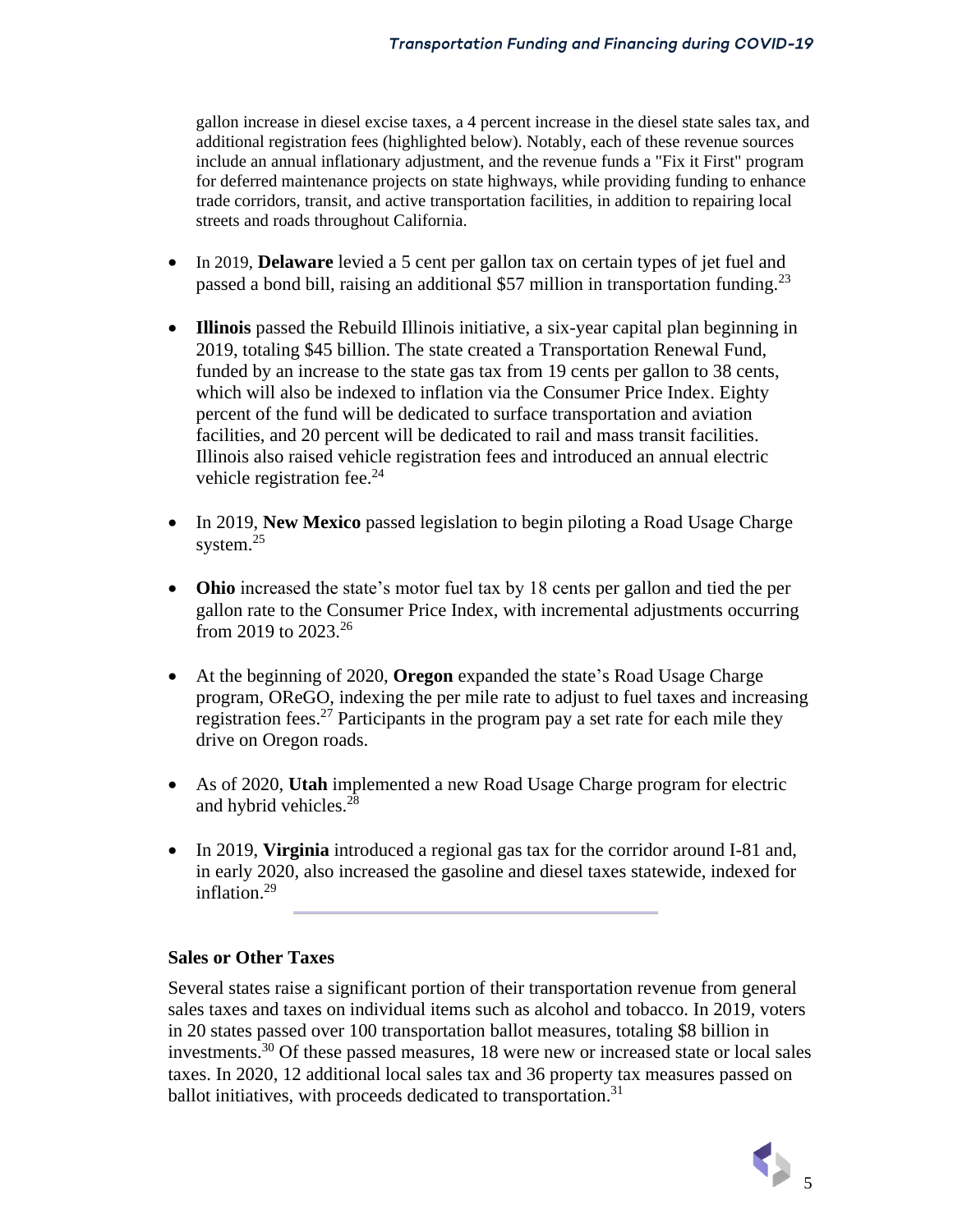gallon increase in diesel excise taxes, a 4 percent increase in the diesel state sales tax, and additional registration fees (highlighted below). Notably, each of these revenue sources include an annual inflationary adjustment, and the revenue funds a "Fix it First" program for deferred maintenance projects on state highways, while providing funding to enhance trade corridors, transit, and active transportation facilities, in addition to repairing local streets and roads throughout California.

- In 2019, **Delaware** levied a 5 cent per gallon tax on certain types of jet fuel and passed a bond bill, raising an additional \$57 million in transportation funding.<sup>23</sup>
- **Illinois** passed the Rebuild Illinois initiative, a six-year capital plan beginning in 2019, totaling \$45 billion. The state created a Transportation Renewal Fund, funded by an increase to the state gas tax from 19 cents per gallon to 38 cents, which will also be indexed to inflation via the Consumer Price Index. Eighty percent of the fund will be dedicated to surface transportation and aviation facilities, and 20 percent will be dedicated to rail and mass transit facilities. Illinois also raised vehicle registration fees and introduced an annual electric vehicle registration fee.<sup>24</sup>
- In 2019, **New Mexico** passed legislation to begin piloting a Road Usage Charge system. $25$
- **Ohio** increased the state's motor fuel tax by 18 cents per gallon and tied the per gallon rate to the Consumer Price Index, with incremental adjustments occurring from 2019 to 2023.<sup>26</sup>
- At the beginning of 2020, **Oregon** expanded the state's Road Usage Charge program, OReGO, indexing the per mile rate to adjust to fuel taxes and increasing registration fees.<sup>27</sup> Participants in the program pay a set rate for each mile they drive on Oregon roads.
- As of 2020, **Utah** implemented a new Road Usage Charge program for electric and hybrid vehicles.<sup>28</sup>
- In 2019, **Virginia** introduced a regional gas tax for the corridor around I-81 and, in early 2020, also increased the gasoline and diesel taxes statewide, indexed for inflation.<sup>29</sup>

### **Sales or Other Taxes**

Several states raise a significant portion of their transportation revenue from general sales taxes and taxes on individual items such as alcohol and tobacco. In 2019, voters in 20 states passed over 100 transportation ballot measures, totaling \$8 billion in investments.<sup>30</sup> Of these passed measures, 18 were new or increased state or local sales taxes. In 2020, 12 additional local sales tax and 36 property tax measures passed on ballot initiatives, with proceeds dedicated to transportation.<sup>31</sup>

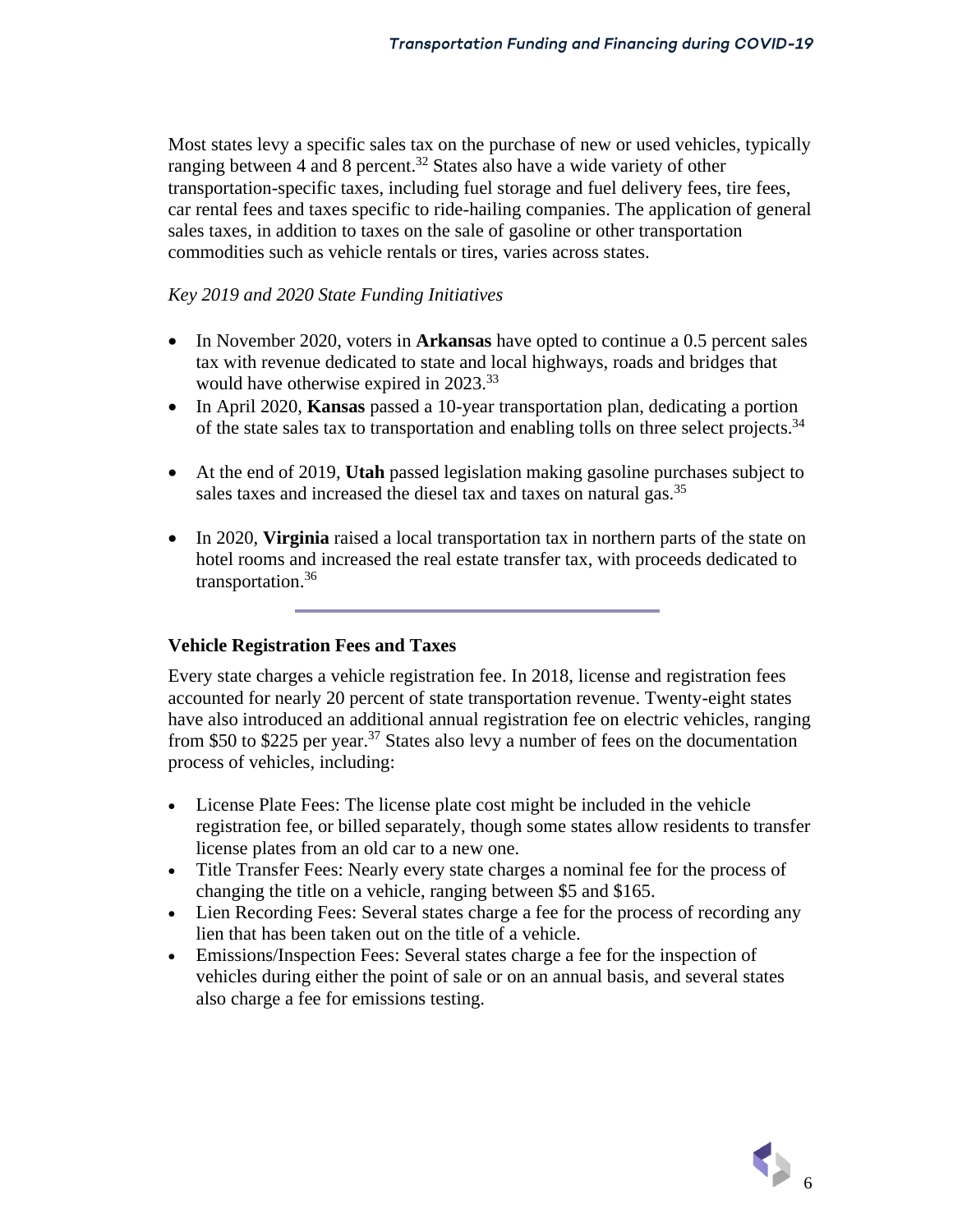Most states levy a specific sales tax on the purchase of new or used vehicles, typically ranging between 4 and 8 percent.<sup>32</sup> States also have a wide variety of other transportation-specific taxes, including fuel storage and fuel delivery fees, tire fees, car rental fees and taxes specific to ride-hailing companies. The application of general sales taxes, in addition to taxes on the sale of gasoline or other transportation commodities such as vehicle rentals or tires, varies across states.

### *Key 2019 and 2020 State Funding Initiatives*

- In November 2020, voters in **Arkansas** have opted to continue a 0.5 percent sales tax with revenue dedicated to state and local highways, roads and bridges that would have otherwise expired in 2023.<sup>33</sup>
- In April 2020, **Kansas** passed a 10-year transportation plan, dedicating a portion of the state sales tax to transportation and enabling tolls on three select projects.<sup>34</sup>
- At the end of 2019, **Utah** passed legislation making gasoline purchases subject to sales taxes and increased the diesel tax and taxes on natural gas.<sup>35</sup>
- In 2020, **Virginia** raised a local transportation tax in northern parts of the state on hotel rooms and increased the real estate transfer tax, with proceeds dedicated to transportation. 36

#### **Vehicle Registration Fees and Taxes**

Every state charges a vehicle registration fee. In 2018, license and registration fees accounted for nearly 20 percent of state transportation revenue. Twenty-eight states have also introduced an additional annual registration fee on electric vehicles, ranging from \$50 to \$225 per year. <sup>37</sup> States also levy a number of fees on the documentation process of vehicles, including:

- License Plate Fees: The license plate cost might be included in the vehicle registration fee, or billed separately, though some states allow residents to transfer license plates from an old car to a new one.
- Title Transfer Fees: Nearly every state charges a nominal fee for the process of changing the title on a vehicle, ranging between \$5 and \$165.
- Lien Recording Fees: Several states charge a fee for the process of recording any lien that has been taken out on the title of a vehicle.
- Emissions/Inspection Fees: Several states charge a fee for the inspection of vehicles during either the point of sale or on an annual basis, and several states also charge a fee for emissions testing.

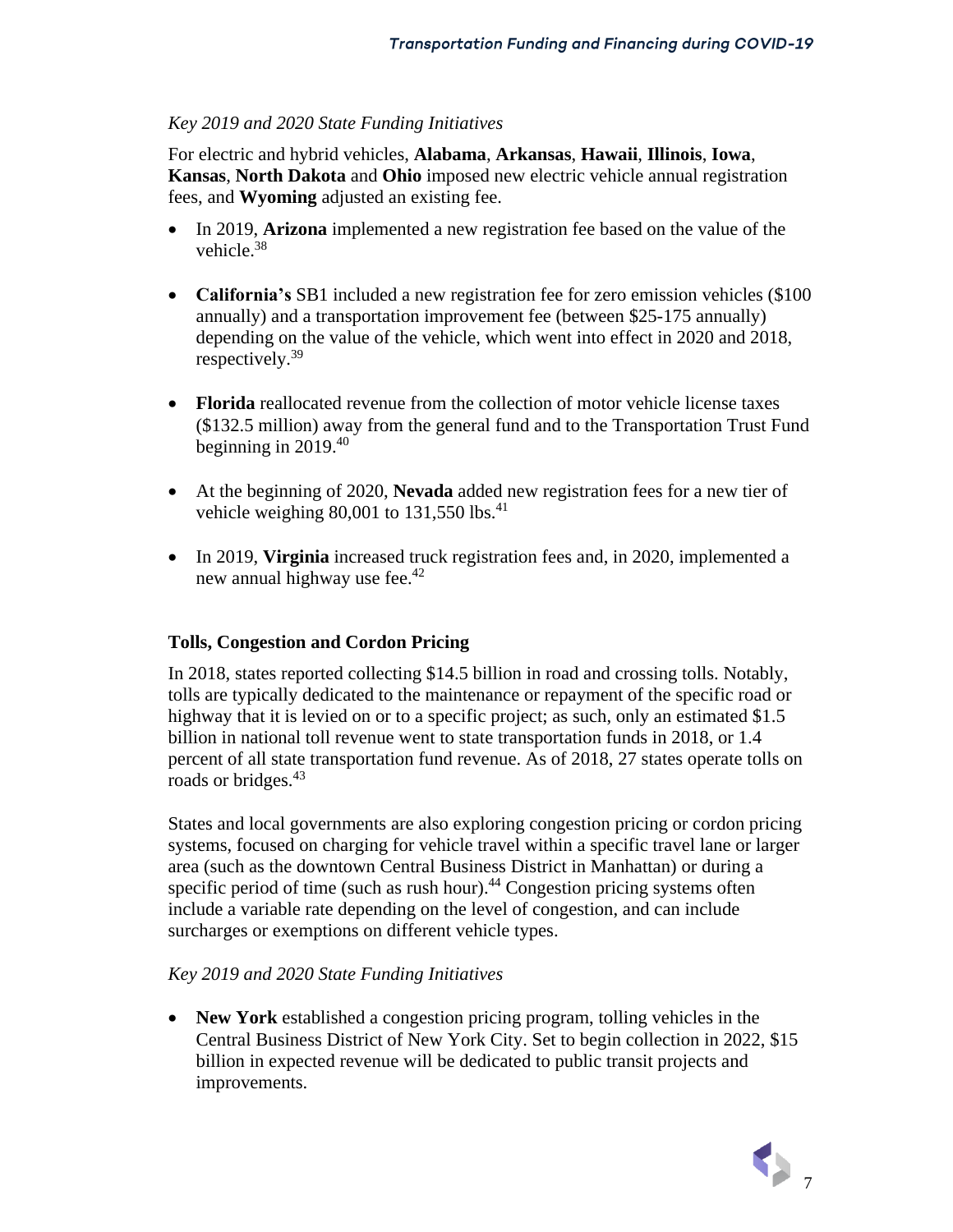### *Key 2019 and 2020 State Funding Initiatives*

For electric and hybrid vehicles, **Alabama**, **Arkansas**, **Hawaii**, **Illinois**, **Iowa**, **Kansas**, **North Dakota** and **Ohio** imposed new electric vehicle annual registration fees, and **Wyoming** adjusted an existing fee.

- In 2019, **Arizona** implemented a new registration fee based on the value of the vehicle.<sup>38</sup>
- **California's** SB1 included a new registration fee for zero emission vehicles (\$100 annually) and a transportation improvement fee (between \$25-175 annually) depending on the value of the vehicle, which went into effect in 2020 and 2018, respectively.<sup>39</sup>
- **Florida** reallocated revenue from the collection of motor vehicle license taxes (\$132.5 million) away from the general fund and to the Transportation Trust Fund beginning in 2019. 40
- At the beginning of 2020, **Nevada** added new registration fees for a new tier of vehicle weighing  $80,001$  to  $131,550$  lbs.<sup>41</sup>
- In 2019, **Virginia** increased truck registration fees and, in 2020, implemented a new annual highway use fee.<sup>42</sup>

#### **Tolls, Congestion and Cordon Pricing**

In 2018, states reported collecting \$14.5 billion in road and crossing tolls. Notably, tolls are typically dedicated to the maintenance or repayment of the specific road or highway that it is levied on or to a specific project; as such, only an estimated \$1.5 billion in national toll revenue went to state transportation funds in 2018, or 1.4 percent of all state transportation fund revenue. As of 2018, 27 states operate tolls on roads or bridges.<sup>43</sup>

States and local governments are also exploring congestion pricing or cordon pricing systems, focused on charging for vehicle travel within a specific travel lane or larger area (such as the downtown Central Business District in Manhattan) or during a specific period of time (such as rush hour).<sup>44</sup> Congestion pricing systems often include a variable rate depending on the level of congestion, and can include surcharges or exemptions on different vehicle types.

#### *Key 2019 and 2020 State Funding Initiatives*

• **New York** established a congestion pricing program, tolling vehicles in the Central Business District of New York City. Set to begin collection in 2022, \$15 billion in expected revenue will be dedicated to public transit projects and improvements.

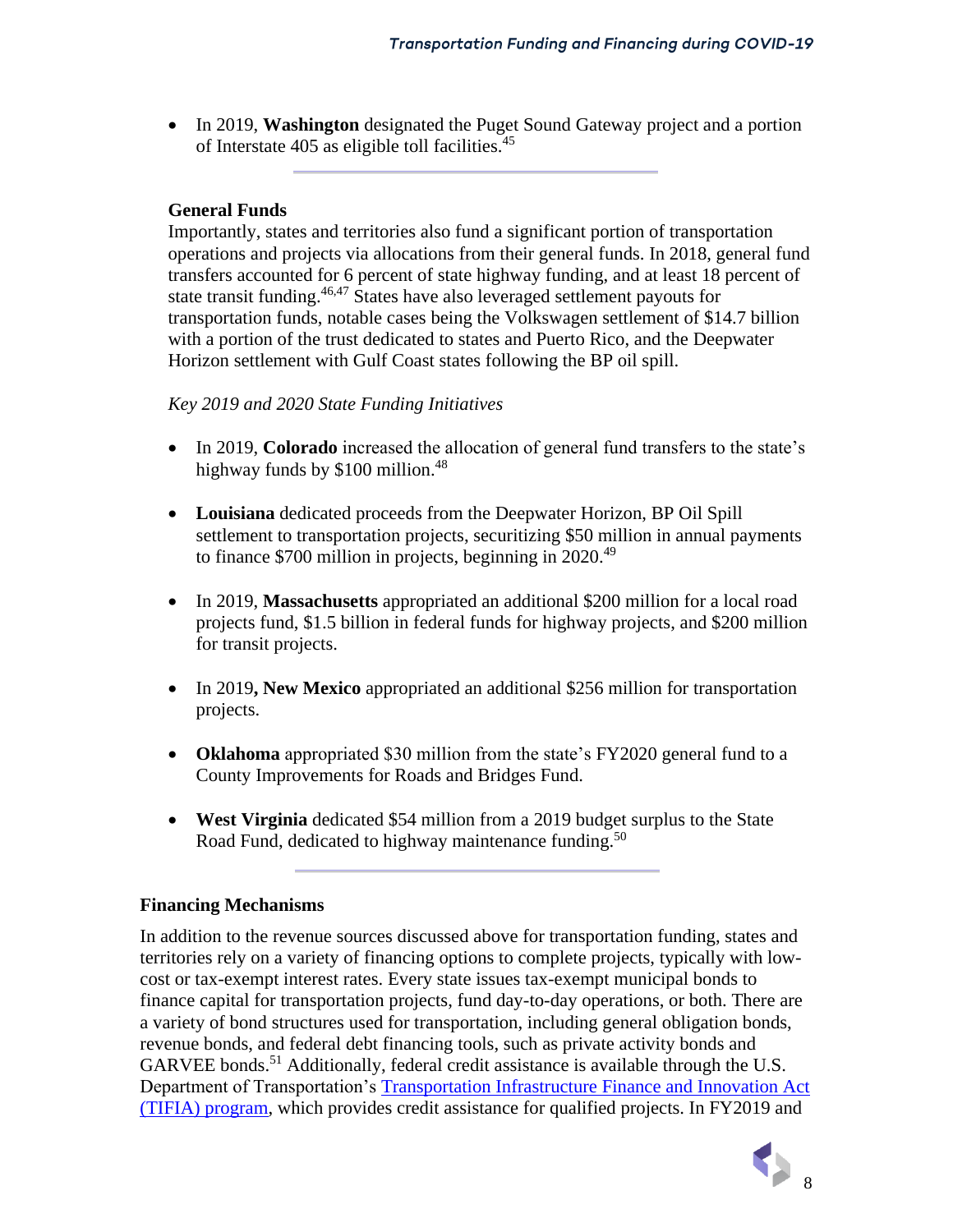• In 2019, **Washington** designated the Puget Sound Gateway project and a portion of Interstate 405 as eligible toll facilities.<sup>45</sup>

#### **General Funds**

Importantly, states and territories also fund a significant portion of transportation operations and projects via allocations from their general funds. In 2018, general fund transfers accounted for 6 percent of state highway funding, and at least 18 percent of state transit funding.<sup>46,47</sup> States have also leveraged settlement payouts for transportation funds, notable cases being the Volkswagen settlement of \$14.7 billion with a portion of the trust dedicated to states and Puerto Rico, and the Deepwater Horizon settlement with Gulf Coast states following the BP oil spill.

#### *Key 2019 and 2020 State Funding Initiatives*

- In 2019, **Colorado** increased the allocation of general fund transfers to the state's highway funds by \$100 million.<sup>48</sup>
- **Louisiana** dedicated proceeds from the Deepwater Horizon, BP Oil Spill settlement to transportation projects, securitizing \$50 million in annual payments to finance \$700 million in projects, beginning in 2020.<sup>49</sup>
- In 2019, **Massachusetts** appropriated an additional \$200 million for a local road projects fund, \$1.5 billion in federal funds for highway projects, and \$200 million for transit projects.
- In 2019**, New Mexico** appropriated an additional \$256 million for transportation projects.
- **Oklahoma** appropriated \$30 million from the state's FY2020 general fund to a County Improvements for Roads and Bridges Fund.
- **West Virginia** dedicated \$54 million from a 2019 budget surplus to the State Road Fund, dedicated to highway maintenance funding.<sup>50</sup>

#### **Financing Mechanisms**

In addition to the revenue sources discussed above for transportation funding, states and territories rely on a variety of financing options to complete projects, typically with lowcost or tax-exempt interest rates. Every state issues tax-exempt municipal bonds to finance capital for transportation projects, fund day-to-day operations, or both. There are a variety of bond structures used for transportation, including general obligation bonds, revenue bonds, and federal debt financing tools, such as private activity bonds and GARVEE bonds.<sup>51</sup> Additionally, federal credit assistance is available through the U.S. Department of Transportation's [Transportation Infrastructure Finance and Innovation Act](https://www.transportation.gov/buildamerica/financing/tifia)  (TIFIA) [program,](https://www.transportation.gov/buildamerica/financing/tifia) which provides credit assistance for qualified projects. In FY2019 and

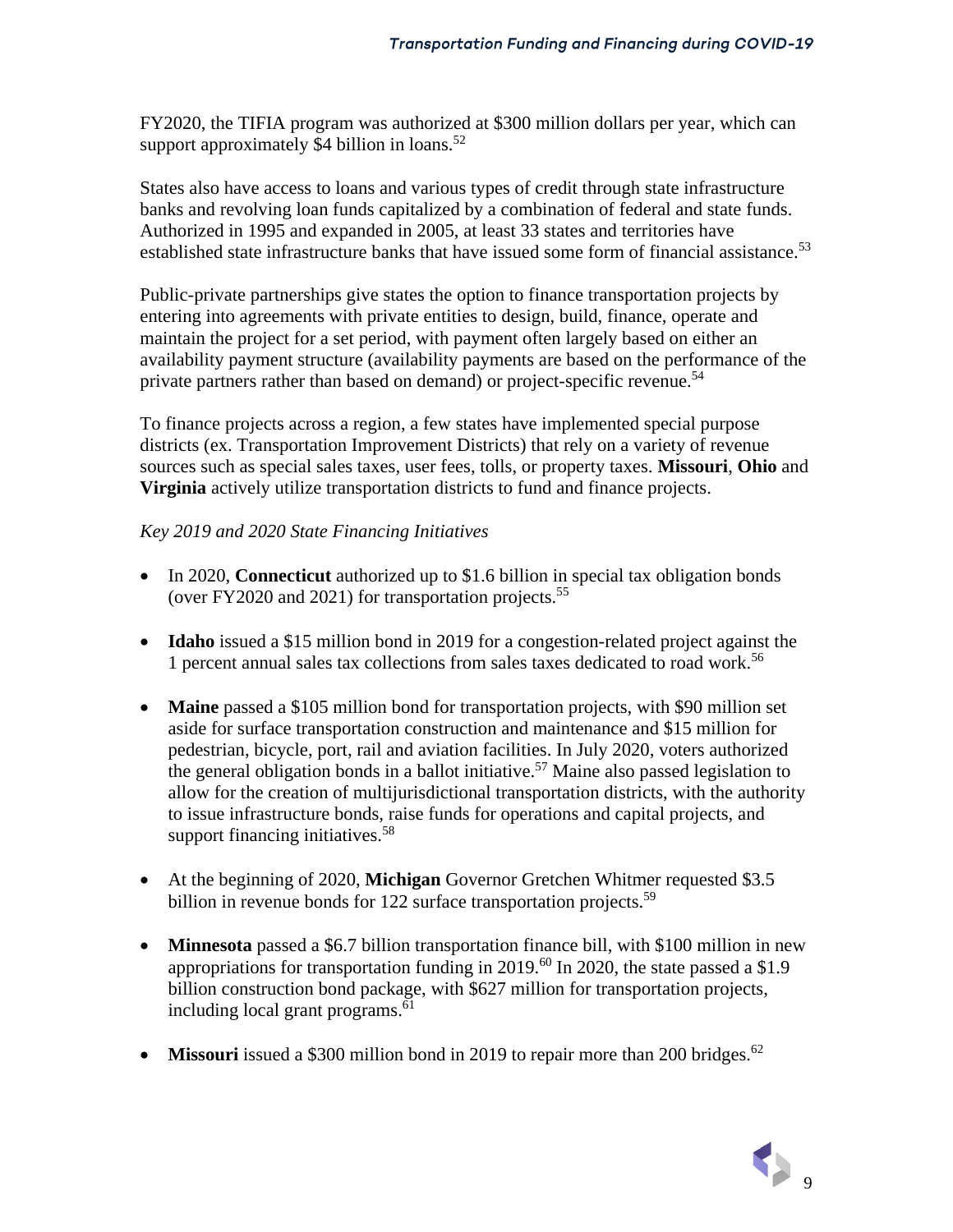FY2020, the TIFIA program was authorized at \$300 million dollars per year, which can support approximately \$4 billion in loans.<sup>52</sup>

States also have access to loans and various types of credit through state infrastructure banks and revolving loan funds capitalized by a combination of federal and state funds. Authorized in 1995 and expanded in 2005, at least 33 states and territories have established state infrastructure banks that have issued some form of financial assistance.<sup>53</sup>

Public-private partnerships give states the option to finance transportation projects by entering into agreements with private entities to design, build, finance, operate and maintain the project for a set period, with payment often largely based on either an availability payment structure (availability payments are based on the performance of the private partners rather than based on demand) or project-specific revenue.<sup>54</sup>

To finance projects across a region, a few states have implemented special purpose districts (ex. Transportation Improvement Districts) that rely on a variety of revenue sources such as special sales taxes, user fees, tolls, or property taxes. **Missouri**, **Ohio** and **Virginia** actively utilize transportation districts to fund and finance projects.

### *Key 2019 and 2020 State Financing Initiatives*

- In 2020, **Connecticut** authorized up to \$1.6 billion in special tax obligation bonds (over FY2020 and 2021) for transportation projects.<sup>55</sup>
- **Idaho** issued a \$15 million bond in 2019 for a congestion-related project against the 1 percent annual sales tax collections from sales taxes dedicated to road work.<sup>56</sup>
- **Maine** passed a \$105 million bond for transportation projects, with \$90 million set aside for surface transportation construction and maintenance and \$15 million for pedestrian, bicycle, port, rail and aviation facilities. In July 2020, voters authorized the general obligation bonds in a ballot initiative.<sup>57</sup> Maine also passed legislation to allow for the creation of multijurisdictional transportation districts, with the authority to issue infrastructure bonds, raise funds for operations and capital projects, and support financing initiatives.<sup>58</sup>
- At the beginning of 2020, **Michigan** Governor Gretchen Whitmer requested \$3.5 billion in revenue bonds for 122 surface transportation projects.<sup>59</sup>
- **Minnesota** passed a \$6.7 billion transportation finance bill, with \$100 million in new appropriations for transportation funding in 2019.<sup>60</sup> In 2020, the state passed a \$1.9 billion construction bond package, with \$627 million for transportation projects, including local grant programs.<sup>61</sup>
- **Missouri** issued a \$300 million bond in 2019 to repair more than 200 bridges.<sup>62</sup>

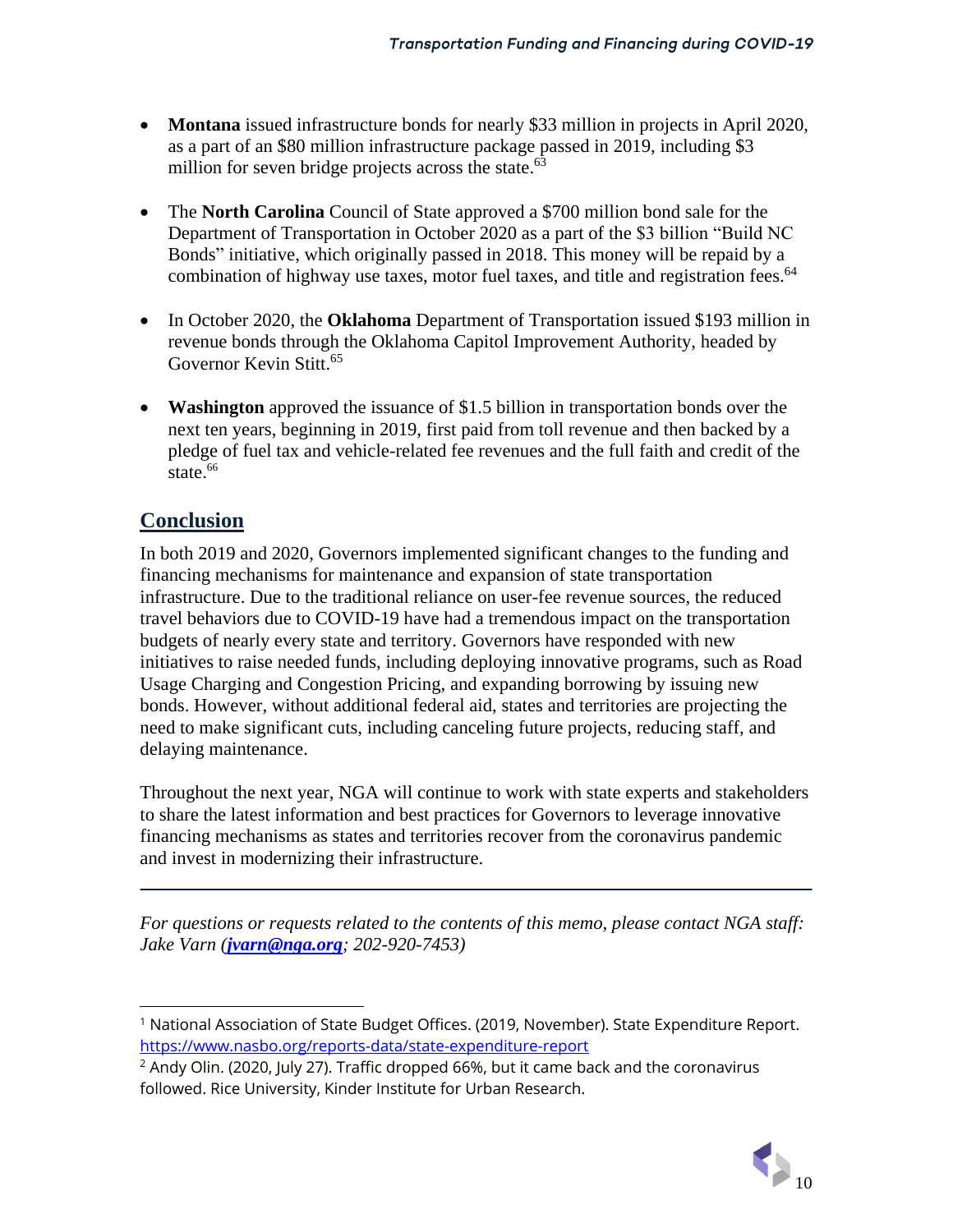- **Montana** issued infrastructure bonds for nearly \$33 million in projects in April 2020, as a part of an \$80 million infrastructure package passed in 2019, including \$3 million for seven bridge projects across the state.<sup>63</sup>
- The **North Carolina** Council of State approved a \$700 million bond sale for the Department of Transportation in October 2020 as a part of the \$3 billion "Build NC Bonds" initiative, which originally passed in 2018. This money will be repaid by a combination of highway use taxes, motor fuel taxes, and title and registration fees.<sup>64</sup>
- In October 2020, the **Oklahoma** Department of Transportation issued \$193 million in revenue bonds through the Oklahoma Capitol Improvement Authority, headed by Governor Kevin Stitt.<sup>65</sup>
- **Washington** approved the issuance of \$1.5 billion in transportation bonds over the next ten years, beginning in 2019, first paid from toll revenue and then backed by a pledge of fuel tax and vehicle-related fee revenues and the full faith and credit of the state.<sup>66</sup>

# **Conclusion**

In both 2019 and 2020, Governors implemented significant changes to the funding and financing mechanisms for maintenance and expansion of state transportation infrastructure. Due to the traditional reliance on user-fee revenue sources, the reduced travel behaviors due to COVID-19 have had a tremendous impact on the transportation budgets of nearly every state and territory. Governors have responded with new initiatives to raise needed funds, including deploying innovative programs, such as Road Usage Charging and Congestion Pricing, and expanding borrowing by issuing new bonds. However, without additional federal aid, states and territories are projecting the need to make significant cuts, including canceling future projects, reducing staff, and delaying maintenance.

Throughout the next year, NGA will continue to work with state experts and stakeholders to share the latest information and best practices for Governors to leverage innovative financing mechanisms as states and territories recover from the coronavirus pandemic and invest in modernizing their infrastructure.

*For questions or requests related to the contents of this memo, please contact NGA staff: Jake Varn ([jvarn@nga.org](mailto:jvarn@nga.org); 202-920-7453)*

<sup>&</sup>lt;sup>2</sup> Andy Olin. (2020, July 27). Traffic dropped 66%, but it came back and the coronavirus followed. Rice University, Kinder Institute for Urban Research.



<sup>&</sup>lt;sup>1</sup> National Association of State Budget Offices. (2019, November). State Expenditure Report. <https://www.nasbo.org/reports-data/state-expenditure-report>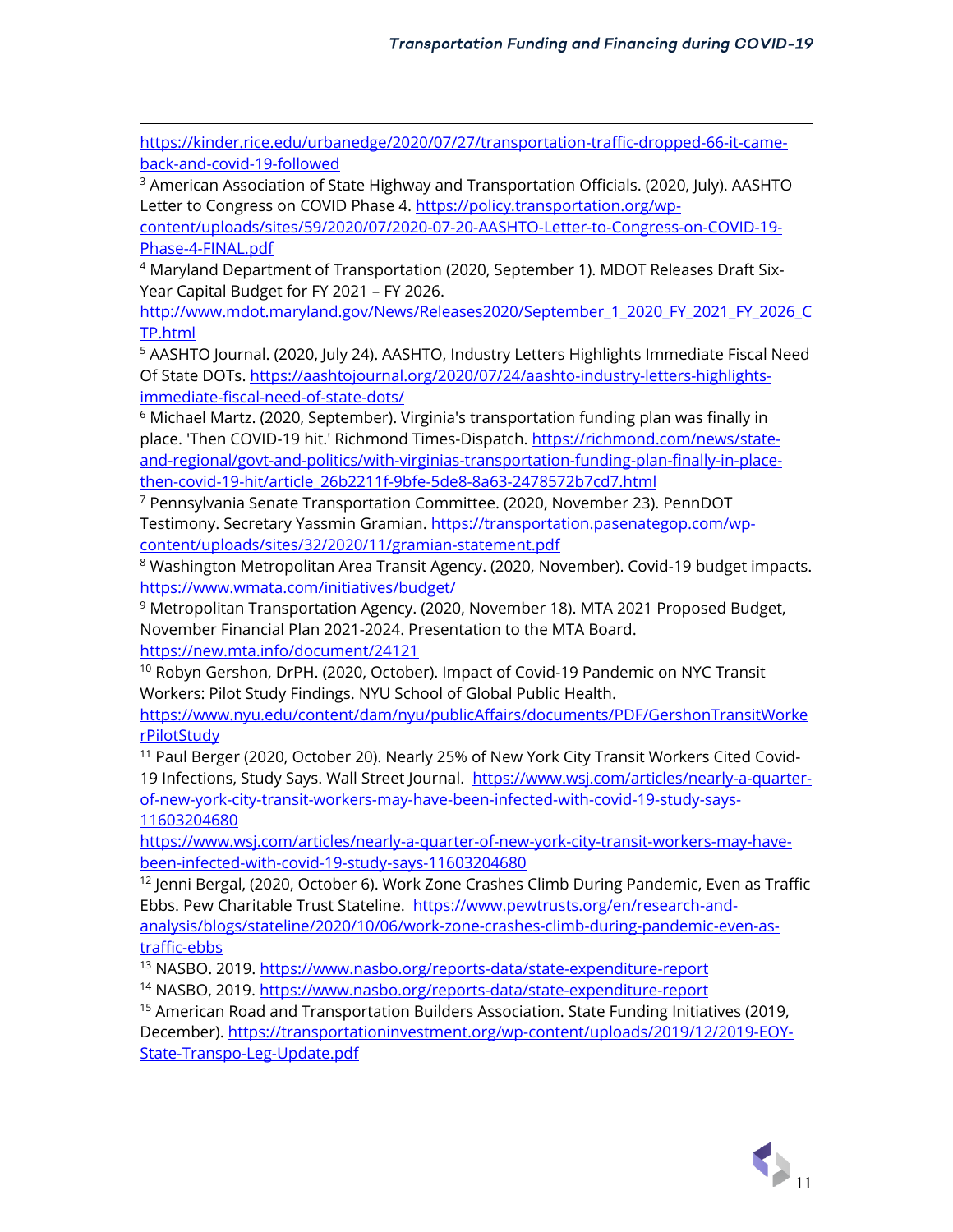[https://kinder.rice.edu/urbanedge/2020/07/27/transportation-traffic-dropped-66-it-came](https://kinder.rice.edu/urbanedge/2020/07/27/transportation-traffic-dropped-66-it-came-back-and-covid-19-followed)[back-and-covid-19-followed](https://kinder.rice.edu/urbanedge/2020/07/27/transportation-traffic-dropped-66-it-came-back-and-covid-19-followed)

 $3$  American Association of State Highway and Transportation Officials. (2020, July). AASHTO Letter to Congress on COVID Phase 4. [https://policy.transportation.org/wp-](https://policy.transportation.org/wp-content/uploads/sites/59/2020/07/2020-07-20-AASHTO-Letter-to-Congress-on-COVID-19-Phase-4-FINAL.pdf)

[content/uploads/sites/59/2020/07/2020-07-20-AASHTO-Letter-to-Congress-on-COVID-19-](https://policy.transportation.org/wp-content/uploads/sites/59/2020/07/2020-07-20-AASHTO-Letter-to-Congress-on-COVID-19-Phase-4-FINAL.pdf) [Phase-4-FINAL.pdf](https://policy.transportation.org/wp-content/uploads/sites/59/2020/07/2020-07-20-AASHTO-Letter-to-Congress-on-COVID-19-Phase-4-FINAL.pdf)

<sup>4</sup> Maryland Department of Transportation (2020, September 1). MDOT Releases Draft Six-Year Capital Budget for FY 2021 – FY 2026.

[http://www.mdot.maryland.gov/News/Releases2020/September\\_1\\_2020\\_FY\\_2021\\_FY\\_2026\\_C](http://www.mdot.maryland.gov/News/Releases2020/September_1_2020_FY_2021_FY_2026_CTP.html) [TP.html](http://www.mdot.maryland.gov/News/Releases2020/September_1_2020_FY_2021_FY_2026_CTP.html)

<sup>5</sup> AASHTO Journal. (2020, July 24). AASHTO, Industry Letters Highlights Immediate Fiscal Need Of State DOTs[. https://aashtojournal.org/2020/07/24/aashto-industry-letters-highlights](https://aashtojournal.org/2020/07/24/aashto-industry-letters-highlights-immediate-fiscal-need-of-state-dots/)[immediate-fiscal-need-of-state-dots/](https://aashtojournal.org/2020/07/24/aashto-industry-letters-highlights-immediate-fiscal-need-of-state-dots/)

 $6$  Michael Martz. (2020, September). Virginia's transportation funding plan was finally in place. 'Then COVID-19 hit.' Richmond Times-Dispatch. [https://richmond.com/news/state](https://richmond.com/news/state-and-regional/govt-and-politics/with-virginias-transportation-funding-plan-finally-in-place-then-covid-19-hit/article_26b2211f-9bfe-5de8-8a63-2478572b7cd7.html)[and-regional/govt-and-politics/with-virginias-transportation-funding-plan-finally-in-place](https://richmond.com/news/state-and-regional/govt-and-politics/with-virginias-transportation-funding-plan-finally-in-place-then-covid-19-hit/article_26b2211f-9bfe-5de8-8a63-2478572b7cd7.html)[then-covid-19-hit/article\\_26b2211f-9bfe-5de8-8a63-2478572b7cd7.html](https://richmond.com/news/state-and-regional/govt-and-politics/with-virginias-transportation-funding-plan-finally-in-place-then-covid-19-hit/article_26b2211f-9bfe-5de8-8a63-2478572b7cd7.html)

<sup>7</sup> Pennsylvania Senate Transportation Committee. (2020, November 23). PennDOT Testimony. Secretary Yassmin Gramian. [https://transportation.pasenategop.com/wp](https://transportation.pasenategop.com/wp-content/uploads/sites/32/2020/11/gramian-statement.pdf)[content/uploads/sites/32/2020/11/gramian-statement.pdf](https://transportation.pasenategop.com/wp-content/uploads/sites/32/2020/11/gramian-statement.pdf) 

<sup>8</sup> Washington Metropolitan Area Transit Agency. (2020, November). Covid-19 budget impacts. <https://www.wmata.com/initiatives/budget/>

<sup>9</sup> Metropolitan Transportation Agency. (2020, November 18). MTA 2021 Proposed Budget, November Financial Plan 2021-2024. Presentation to the MTA Board. <https://new.mta.info/document/24121>

<sup>10</sup> Robyn Gershon, DrPH. (2020, October). Impact of Covid-19 Pandemic on NYC Transit Workers: Pilot Study Findings. NYU School of Global Public Health.

[https://www.nyu.edu/content/dam/nyu/publicAffairs/documents/PDF/GershonTransitWorke](https://www.nyu.edu/content/dam/nyu/publicAffairs/documents/PDF/GershonTransitWorkerPilotStudy) [rPilotStudy](https://www.nyu.edu/content/dam/nyu/publicAffairs/documents/PDF/GershonTransitWorkerPilotStudy)

<sup>11</sup> Paul Berger (2020, October 20). Nearly 25% of New York City Transit Workers Cited Covid19 Infections, Study Says. Wall Street Journal. [https://www.wsj.com/articles/nearly-a-quarter](https://www.wsj.com/articles/nearly-a-quarter-of-new-york-city-transit-workers-may-have-been-infected-with-covid-19-study-says-11603204680)[of-new-york-city-transit-workers-may-have-been-infected-with-covid-19-study-says-](https://www.wsj.com/articles/nearly-a-quarter-of-new-york-city-transit-workers-may-have-been-infected-with-covid-19-study-says-11603204680)[11603204680](https://www.wsj.com/articles/nearly-a-quarter-of-new-york-city-transit-workers-may-have-been-infected-with-covid-19-study-says-11603204680)

[https://www.wsj.com/articles/nearly-a-quarter-of-new-york-city-transit-workers-may-have](https://www.wsj.com/articles/nearly-a-quarter-of-new-york-city-transit-workers-may-have-been-infected-with-covid-19-study-says-11603204680)[been-infected-with-covid-19-study-says-11603204680](https://www.wsj.com/articles/nearly-a-quarter-of-new-york-city-transit-workers-may-have-been-infected-with-covid-19-study-says-11603204680)

<sup>12</sup> Jenni Bergal, (2020, October 6). Work Zone Crashes Climb During Pandemic, Even as Traffic Ebbs. Pew Charitable Trust Stateline. [https://www.pewtrusts.org/en/research-and](https://www.pewtrusts.org/en/research-and-analysis/blogs/stateline/2020/10/06/work-zone-crashes-climb-during-pandemic-even-as-traffic-ebbs)[analysis/blogs/stateline/2020/10/06/work-zone-crashes-climb-during-pandemic-even-as](https://www.pewtrusts.org/en/research-and-analysis/blogs/stateline/2020/10/06/work-zone-crashes-climb-during-pandemic-even-as-traffic-ebbs)[traffic-ebbs](https://www.pewtrusts.org/en/research-and-analysis/blogs/stateline/2020/10/06/work-zone-crashes-climb-during-pandemic-even-as-traffic-ebbs)

13 NASBO. 2019.<https://www.nasbo.org/reports-data/state-expenditure-report>

14 NASBO, 2019.<https://www.nasbo.org/reports-data/state-expenditure-report>

<sup>15</sup> American Road and Transportation Builders Association. State Funding Initiatives (2019, December)[. https://transportationinvestment.org/wp-content/uploads/2019/12/2019-EOY-](https://transportationinvestment.org/wp-content/uploads/2019/12/2019-EOY-State-Transpo-Leg-Update.pdf)[State-Transpo-Leg-Update.pdf](https://transportationinvestment.org/wp-content/uploads/2019/12/2019-EOY-State-Transpo-Leg-Update.pdf)

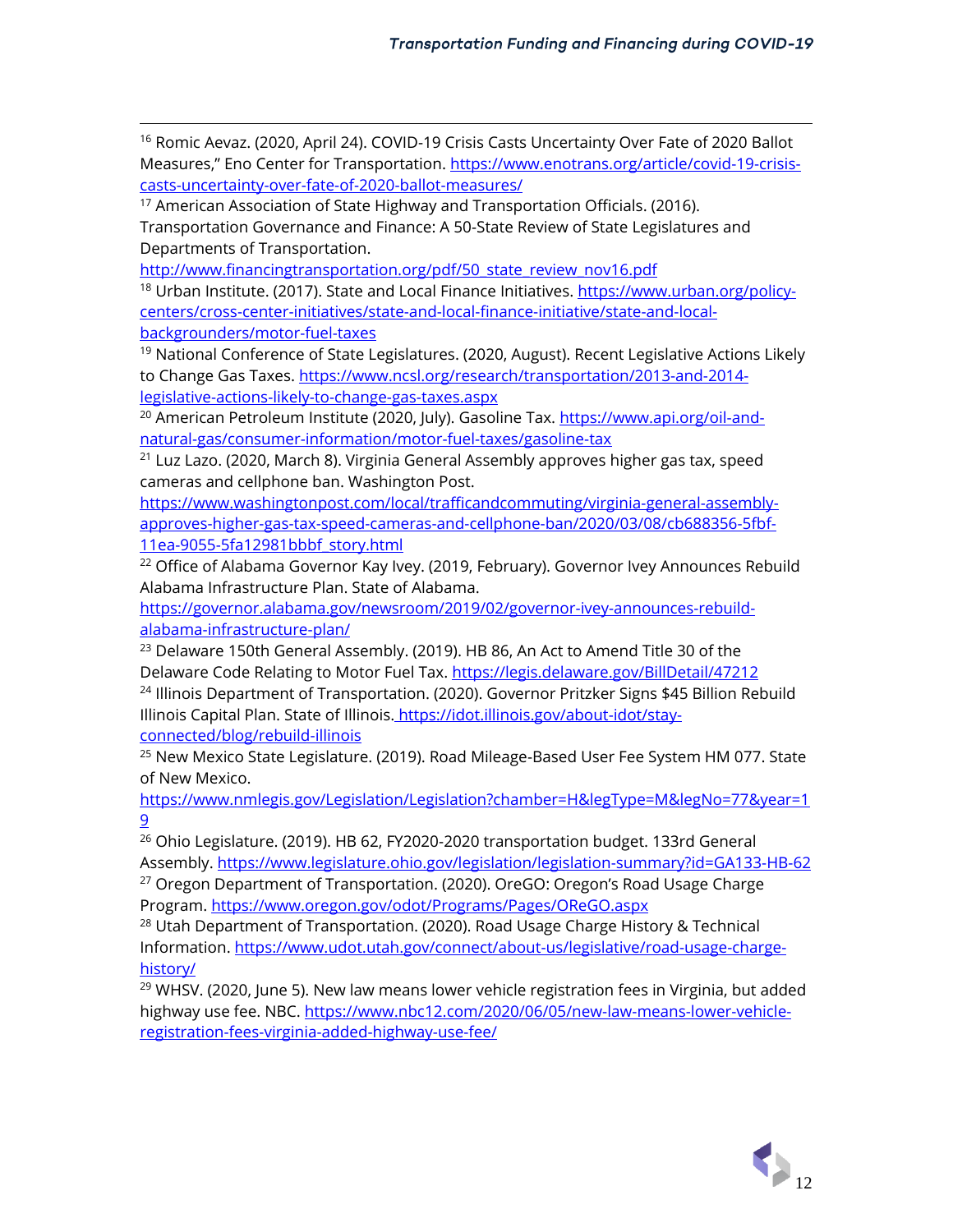<sup>16</sup> Romic Aevaz. (2020, April 24). COVID-19 Crisis Casts Uncertainty Over Fate of 2020 Ballot Measures," Eno Center for Transportation. [https://www.enotrans.org/article/covid-19-crisis](https://www.enotrans.org/article/covid-19-crisis-casts-uncertainty-over-fate-of-2020-ballot-measures/)[casts-uncertainty-over-fate-of-2020-ballot-measures/](https://www.enotrans.org/article/covid-19-crisis-casts-uncertainty-over-fate-of-2020-ballot-measures/)

<sup>17</sup> American Association of State Highway and Transportation Officials. (2016). Transportation Governance and Finance: A 50-State Review of State Legislatures and Departments of Transportation.

http://www.financingtransportation.org/pdf/50 state review nov16.pdf

<sup>18</sup> Urban Institute. (2017). State and Local Finance Initiatives. [https://www.urban.org/policy](https://www.urban.org/policy-centers/cross-center-initiatives/state-and-local-finance-initiative/state-and-local-backgrounders/motor-fuel-taxes)[centers/cross-center-initiatives/state-and-local-finance-initiative/state-and-local](https://www.urban.org/policy-centers/cross-center-initiatives/state-and-local-finance-initiative/state-and-local-backgrounders/motor-fuel-taxes)[backgrounders/motor-fuel-taxes](https://www.urban.org/policy-centers/cross-center-initiatives/state-and-local-finance-initiative/state-and-local-backgrounders/motor-fuel-taxes)

 $19$  National Conference of State Legislatures. (2020, August). Recent Legislative Actions Likely to Change Gas Taxes. [https://www.ncsl.org/research/transportation/2013-and-2014](https://www.ncsl.org/research/transportation/2013-and-2014-legislative-actions-likely-to-change-gas-taxes.aspx) [legislative-actions-likely-to-change-gas-taxes.aspx](https://www.ncsl.org/research/transportation/2013-and-2014-legislative-actions-likely-to-change-gas-taxes.aspx)

<sup>20</sup> American Petroleum Institute (2020, July). Gasoline Tax[. https://www.api.org/oil-and](https://www.api.org/oil-and-natural-gas/consumer-information/motor-fuel-taxes/gasoline-tax)[natural-gas/consumer-information/motor-fuel-taxes/gasoline-tax](https://www.api.org/oil-and-natural-gas/consumer-information/motor-fuel-taxes/gasoline-tax)

<sup>21</sup> Luz Lazo. (2020, March 8). Virginia General Assembly approves higher gas tax, speed cameras and cellphone ban. Washington Post.

[https://www.washingtonpost.com/local/trafficandcommuting/virginia-general-assembly](https://www.washingtonpost.com/local/trafficandcommuting/virginia-general-assembly-approves-higher-gas-tax-speed-cameras-and-cellphone-ban/2020/03/08/cb688356-5fbf-11ea-9055-5fa12981bbbf_story.html)[approves-higher-gas-tax-speed-cameras-and-cellphone-ban/2020/03/08/cb688356-5fbf-](https://www.washingtonpost.com/local/trafficandcommuting/virginia-general-assembly-approves-higher-gas-tax-speed-cameras-and-cellphone-ban/2020/03/08/cb688356-5fbf-11ea-9055-5fa12981bbbf_story.html)[11ea-9055-5fa12981bbbf\\_story.html](https://www.washingtonpost.com/local/trafficandcommuting/virginia-general-assembly-approves-higher-gas-tax-speed-cameras-and-cellphone-ban/2020/03/08/cb688356-5fbf-11ea-9055-5fa12981bbbf_story.html)

<sup>22</sup> Office of Alabama Governor Kay Ivey. (2019, February). Governor Ivey Announces Rebuild Alabama Infrastructure Plan. State of Alabama.

[https://governor.alabama.gov/newsroom/2019/02/governor-ivey-announces-rebuild](https://governor.alabama.gov/newsroom/2019/02/governor-ivey-announces-rebuild-alabama-infrastructure-plan/)[alabama-infrastructure-plan/](https://governor.alabama.gov/newsroom/2019/02/governor-ivey-announces-rebuild-alabama-infrastructure-plan/)

<sup>23</sup> Delaware 150th General Assembly. (2019). HB 86, An Act to Amend Title 30 of the Delaware Code Relating to Motor Fuel Tax[. https://legis.delaware.gov/BillDetail/47212](https://legis.delaware.gov/BillDetail/47212) <sup>24</sup> Illinois Department of Transportation. (2020). Governor Pritzker Signs \$45 Billion Rebuild Illinois Capital Plan. State of Illinois. [https://idot.illinois.gov/about-idot/stay](https://idot.illinois.gov/about-idot/stay-connected/blog/rebuild-illinois)[connected/blog/rebuild-illinois](https://idot.illinois.gov/about-idot/stay-connected/blog/rebuild-illinois)

<sup>25</sup> New Mexico State Legislature. (2019). Road Mileage-Based User Fee System HM 077. State of New Mexico.

[https://www.nmlegis.gov/Legislation/Legislation?chamber=H&legType=M&legNo=77&year=1](https://www.nmlegis.gov/Legislation/Legislation?chamber=H&legType=M&legNo=77&year=19) [9](https://www.nmlegis.gov/Legislation/Legislation?chamber=H&legType=M&legNo=77&year=19)

<sup>26</sup> Ohio Legislature. (2019). HB 62, FY2020-2020 transportation budget. 133rd General Assembly[. https://www.legislature.ohio.gov/legislation/legislation-summary?id=GA133-HB-62](https://www.legislature.ohio.gov/legislation/legislation-summary?id=GA133-HB-62) <sup>27</sup> Oregon Department of Transportation. (2020). OreGO: Oregon's Road Usage Charge Program.<https://www.oregon.gov/odot/Programs/Pages/OReGO.aspx>

 $^{28}$  Utah Department of Transportation. (2020). Road Usage Charge History & Technical Information. [https://www.udot.utah.gov/connect/about-us/legislative/road-usage-charge](https://www.udot.utah.gov/connect/about-us/legislative/road-usage-charge-history/)[history/](https://www.udot.utah.gov/connect/about-us/legislative/road-usage-charge-history/)

 $29$  WHSV. (2020, June 5). New law means lower vehicle registration fees in Virginia, but added highway use fee. NBC. [https://www.nbc12.com/2020/06/05/new-law-means-lower-vehicle](https://www.nbc12.com/2020/06/05/new-law-means-lower-vehicle-registration-fees-virginia-added-highway-use-fee/)[registration-fees-virginia-added-highway-use-fee/](https://www.nbc12.com/2020/06/05/new-law-means-lower-vehicle-registration-fees-virginia-added-highway-use-fee/)

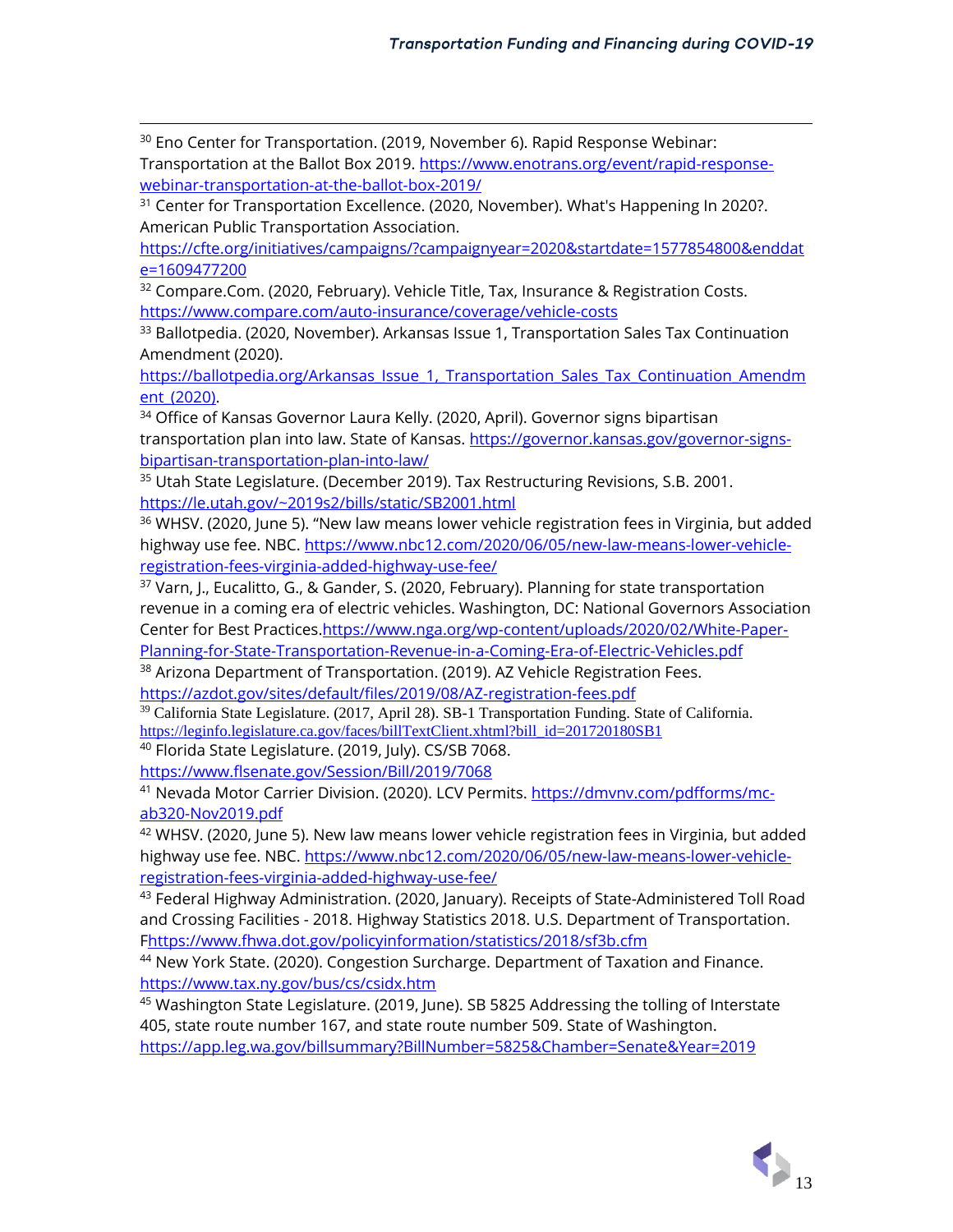<sup>30</sup> Eno Center for Transportation. (2019, November 6). Rapid Response Webinar: Transportation at the Ballot Box 2019. [https://www.enotrans.org/event/rapid-response](https://www.enotrans.org/event/rapid-response-webinar-transportation-at-the-ballot-box-2019/)[webinar-transportation-at-the-ballot-box-2019/](https://www.enotrans.org/event/rapid-response-webinar-transportation-at-the-ballot-box-2019/)

<sup>31</sup> Center for Transportation Excellence. (2020, November). What's Happening In 2020?. American Public Transportation Association.

[https://cfte.org/initiatives/campaigns/?campaignyear=2020&startdate=1577854800&enddat](https://cfte.org/initiatives/campaigns/?campaignyear=2020&startdate=1577854800&enddate=1609477200) [e=1609477200](https://cfte.org/initiatives/campaigns/?campaignyear=2020&startdate=1577854800&enddate=1609477200)

<sup>32</sup> Compare.Com. (2020, February). Vehicle Title, Tax, Insurance & Registration Costs. <https://www.compare.com/auto-insurance/coverage/vehicle-costs>

<sup>33</sup> Ballotpedia. (2020, November). Arkansas Issue 1, Transportation Sales Tax Continuation Amendment (2020).

[https://ballotpedia.org/Arkansas\\_Issue\\_1,\\_Transportation\\_Sales\\_Tax\\_Continuation\\_Amendm](https://ballotpedia.org/Arkansas_Issue_1,_Transportation_Sales_Tax_Continuation_Amendment_(2020)) ent (2020).

<sup>34</sup> Office of Kansas Governor Laura Kelly. (2020, April). Governor signs bipartisan transportation plan into law. State of Kansas[. https://governor.kansas.gov/governor-signs](https://governor.kansas.gov/governor-signs-bipartisan-transportation-plan-into-law/)[bipartisan-transportation-plan-into-law/](https://governor.kansas.gov/governor-signs-bipartisan-transportation-plan-into-law/)

<sup>35</sup> Utah State Legislature. (December 2019). Tax Restructuring Revisions, S.B. 2001. <https://le.utah.gov/~2019s2/bills/static/SB2001.html>

<sup>36</sup> WHSV. (2020, June 5). "New law means lower vehicle registration fees in Virginia, but added highway use fee. NBC. [https://www.nbc12.com/2020/06/05/new-law-means-lower-vehicle](https://www.nbc12.com/2020/06/05/new-law-means-lower-vehicle-registration-fees-virginia-added-highway-use-fee/)[registration-fees-virginia-added-highway-use-fee/](https://www.nbc12.com/2020/06/05/new-law-means-lower-vehicle-registration-fees-virginia-added-highway-use-fee/)

<sup>37</sup> Varn, J., Eucalitto, G., & Gander, S. (2020, February). Planning for state transportation revenue in a coming era of electric vehicles. Washington, DC: National Governors Association Center for Best Practices[.https://www.nga.org/wp-content/uploads/2020/02/White-Paper-](https://www.nga.org/wp-content/uploads/2020/02/White-Paper-Planning-for-State-Transportation-Revenue-in-a-Coming-Era-of-Electric-Vehicles.pdf)[Planning-for-State-Transportation-Revenue-in-a-Coming-Era-of-Electric-Vehicles.pdf](https://www.nga.org/wp-content/uploads/2020/02/White-Paper-Planning-for-State-Transportation-Revenue-in-a-Coming-Era-of-Electric-Vehicles.pdf)

<sup>38</sup> Arizona Department of Transportation. (2019). AZ Vehicle Registration Fees. <https://azdot.gov/sites/default/files/2019/08/AZ-registration-fees.pdf>

<sup>39</sup> California State Legislature. (2017, April 28). SB-1 Transportation Funding. State of California. [https://leginfo.legislature.ca.gov/faces/billTextClient.xhtml?bill\\_id=201720180SB1](https://leginfo.legislature.ca.gov/faces/billTextClient.xhtml?bill_id=201720180SB1)

<sup>40</sup> Florida State Legislature. (2019, July). CS/SB 7068.

<https://www.flsenate.gov/Session/Bill/2019/7068>

<sup>41</sup> Nevada Motor Carrier Division. (2020). LCV Permits. [https://dmvnv.com/pdfforms/mc](https://dmvnv.com/pdfforms/mc-ab320-Nov2019.pdf)[ab320-Nov2019.pdf](https://dmvnv.com/pdfforms/mc-ab320-Nov2019.pdf)

 $42$  WHSV. (2020, June 5). New law means lower vehicle registration fees in Virginia, but added highway use fee. NBC. [https://www.nbc12.com/2020/06/05/new-law-means-lower-vehicle](https://www.nbc12.com/2020/06/05/new-law-means-lower-vehicle-registration-fees-virginia-added-highway-use-fee/)[registration-fees-virginia-added-highway-use-fee/](https://www.nbc12.com/2020/06/05/new-law-means-lower-vehicle-registration-fees-virginia-added-highway-use-fee/)

43 Federal Highway Administration. (2020, January). Receipts of State-Administered Toll Road and Crossing Facilities - 2018. Highway Statistics 2018. U.S. Department of Transportation. [Fhttps://www.fhwa.dot.gov/policyinformation/statistics/2018/sf3b.cfm](https://www.fhwa.dot.gov/policyinformation/statistics/2018/sf3b.cfm)

<sup>44</sup> New York State. (2020). Congestion Surcharge. Department of Taxation and Finance. <https://www.tax.ny.gov/bus/cs/csidx.htm>

 $45$  Washington State Legislature. (2019, June). SB 5825 Addressing the tolling of Interstate 405, state route number 167, and state route number 509. State of Washington. <https://app.leg.wa.gov/billsummary?BillNumber=5825&Chamber=Senate&Year=2019>

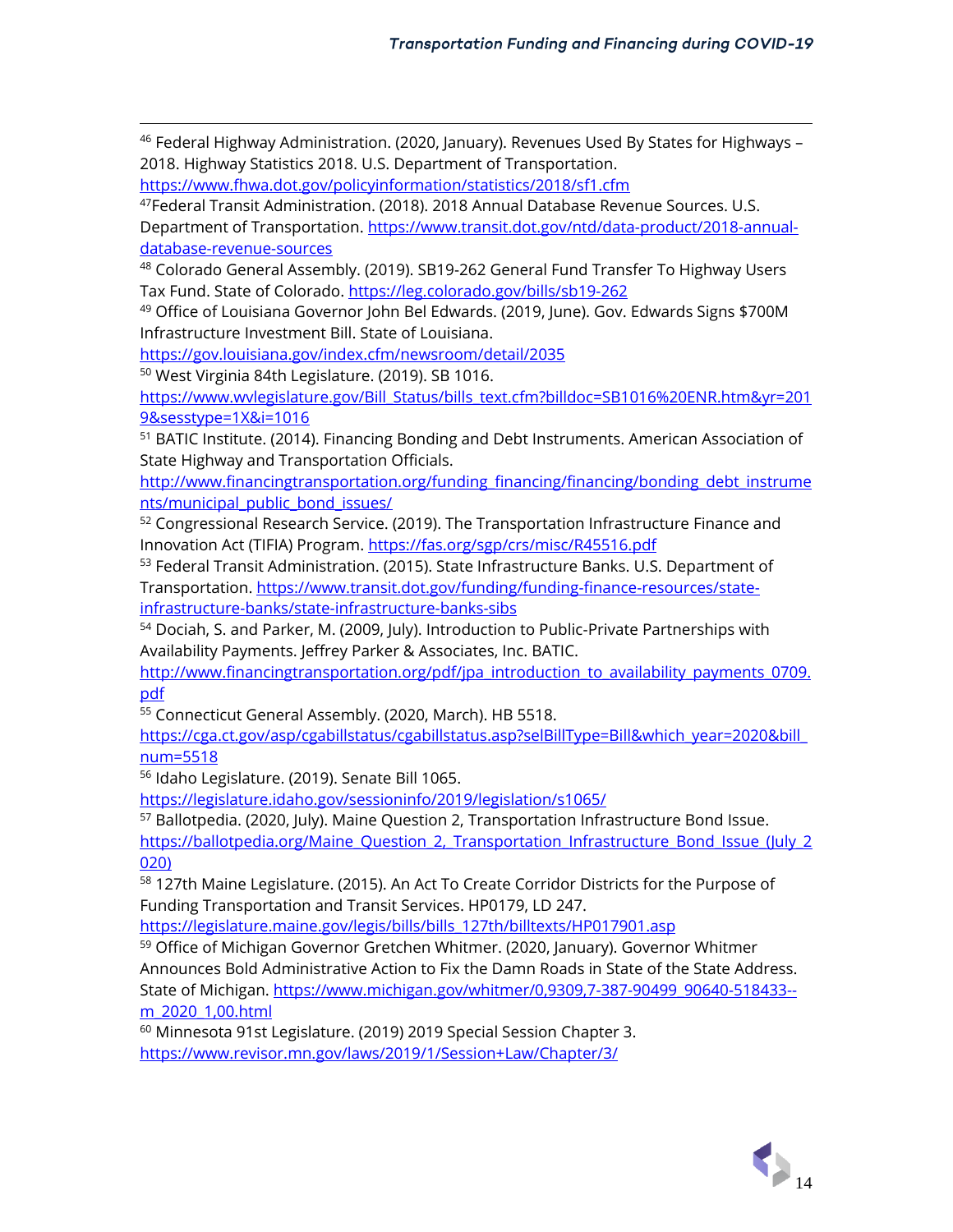$46$  Federal Highway Administration. (2020, January). Revenues Used By States for Highways – 2018. Highway Statistics 2018. U.S. Department of Transportation.

<https://www.fhwa.dot.gov/policyinformation/statistics/2018/sf1.cfm>

<sup>47</sup>Federal Transit Administration. (2018). 2018 Annual Database Revenue Sources. U.S. Department of Transportation. [https://www.transit.dot.gov/ntd/data-product/2018-annual-](https://www.transit.dot.gov/ntd/data-product/2018-annual-database-revenue-sources)

[database-revenue-sources](https://www.transit.dot.gov/ntd/data-product/2018-annual-database-revenue-sources)

<sup>48</sup> Colorado General Assembly. (2019). SB19-262 General Fund Transfer To Highway Users Tax Fund. State of Colorado.<https://leg.colorado.gov/bills/sb19-262>

<sup>49</sup> Office of Louisiana Governor John Bel Edwards. (2019, June). Gov. Edwards Signs \$700M Infrastructure Investment Bill. State of Louisiana.

<https://gov.louisiana.gov/index.cfm/newsroom/detail/2035>

<sup>50</sup> West Virginia 84th Legislature. (2019). SB 1016.

[https://www.wvlegislature.gov/Bill\\_Status/bills\\_text.cfm?billdoc=SB1016%20ENR.htm&yr=201](https://www.wvlegislature.gov/Bill_Status/bills_text.cfm?billdoc=SB1016%20ENR.htm&yr=2019&sesstype=1X&i=1016) [9&sesstype=1X&i=1016](https://www.wvlegislature.gov/Bill_Status/bills_text.cfm?billdoc=SB1016%20ENR.htm&yr=2019&sesstype=1X&i=1016)

<sup>51</sup> BATIC Institute. (2014). Financing Bonding and Debt Instruments. American Association of State Highway and Transportation Officials.

[http://www.financingtransportation.org/funding\\_financing/financing/bonding\\_debt\\_instrume](http://www.financingtransportation.org/funding_financing/financing/bonding_debt_instruments/municipal_public_bond_issues/) [nts/municipal\\_public\\_bond\\_issues/](http://www.financingtransportation.org/funding_financing/financing/bonding_debt_instruments/municipal_public_bond_issues/)

<sup>52</sup> Congressional Research Service. (2019). The Transportation Infrastructure Finance and Innovation Act (TIFIA) Program[. https://fas.org/sgp/crs/misc/R45516.pdf](https://fas.org/sgp/crs/misc/R45516.pdf)

<sup>53</sup> Federal Transit Administration. (2015). State Infrastructure Banks. U.S. Department of Transportation. [https://www.transit.dot.gov/funding/funding-finance-resources/state](https://www.transit.dot.gov/funding/funding-finance-resources/state-infrastructure-banks/state-infrastructure-banks-sibs)[infrastructure-banks/state-infrastructure-banks-sibs](https://www.transit.dot.gov/funding/funding-finance-resources/state-infrastructure-banks/state-infrastructure-banks-sibs)

<sup>54</sup> Dociah, S. and Parker, M. (2009, July). Introduction to Public-Private Partnerships with Availability Payments. Jeffrey Parker & Associates, Inc. BATIC.

[http://www.financingtransportation.org/pdf/jpa\\_introduction\\_to\\_availability\\_payments\\_0709.](http://www.financingtransportation.org/pdf/jpa_introduction_to_availability_payments_0709.pdf) [pdf](http://www.financingtransportation.org/pdf/jpa_introduction_to_availability_payments_0709.pdf)

<sup>55</sup> Connecticut General Assembly. (2020, March). HB 5518.

[https://cga.ct.gov/asp/cgabillstatus/cgabillstatus.asp?selBillType=Bill&which\\_year=2020&bill\\_](https://cga.ct.gov/asp/cgabillstatus/cgabillstatus.asp?selBillType=Bill&which_year=2020&bill_num=5518) [num=5518](https://cga.ct.gov/asp/cgabillstatus/cgabillstatus.asp?selBillType=Bill&which_year=2020&bill_num=5518)

<sup>56</sup> Idaho Legislature. (2019). Senate Bill 1065.

<https://legislature.idaho.gov/sessioninfo/2019/legislation/s1065/>

<sup>57</sup> Ballotpedia. (2020, July). Maine Question 2, Transportation Infrastructure Bond Issue. [https://ballotpedia.org/Maine\\_Question\\_2,\\_Transportation\\_Infrastructure\\_Bond\\_Issue\\_\(July\\_2](https://ballotpedia.org/Maine_Question_2,_Transportation_Infrastructure_Bond_Issue_(July_2020)) [020\)](https://ballotpedia.org/Maine_Question_2,_Transportation_Infrastructure_Bond_Issue_(July_2020))

<sup>58</sup> 127th Maine Legislature. (2015). An Act To Create Corridor Districts for the Purpose of Funding Transportation and Transit Services. HP0179, LD 247.

[https://legislature.maine.gov/legis/bills/bills\\_127th/billtexts/HP017901.asp](https://legislature.maine.gov/legis/bills/bills_127th/billtexts/HP017901.asp)

<sup>59</sup> Office of Michigan Governor Gretchen Whitmer. (2020, January). Governor Whitmer Announces Bold Administrative Action to Fix the Damn Roads in State of the State Address. State of Michigan. [https://www.michigan.gov/whitmer/0,9309,7-387-90499\\_90640-518433-](https://www.michigan.gov/whitmer/0,9309,7-387-90499_90640-518433--m_2020_1,00.html) [m\\_2020\\_1,00.html](https://www.michigan.gov/whitmer/0,9309,7-387-90499_90640-518433--m_2020_1,00.html)

<sup>60</sup> Minnesota 91st Legislature. (2019) 2019 Special Session Chapter 3. <https://www.revisor.mn.gov/laws/2019/1/Session+Law/Chapter/3/>